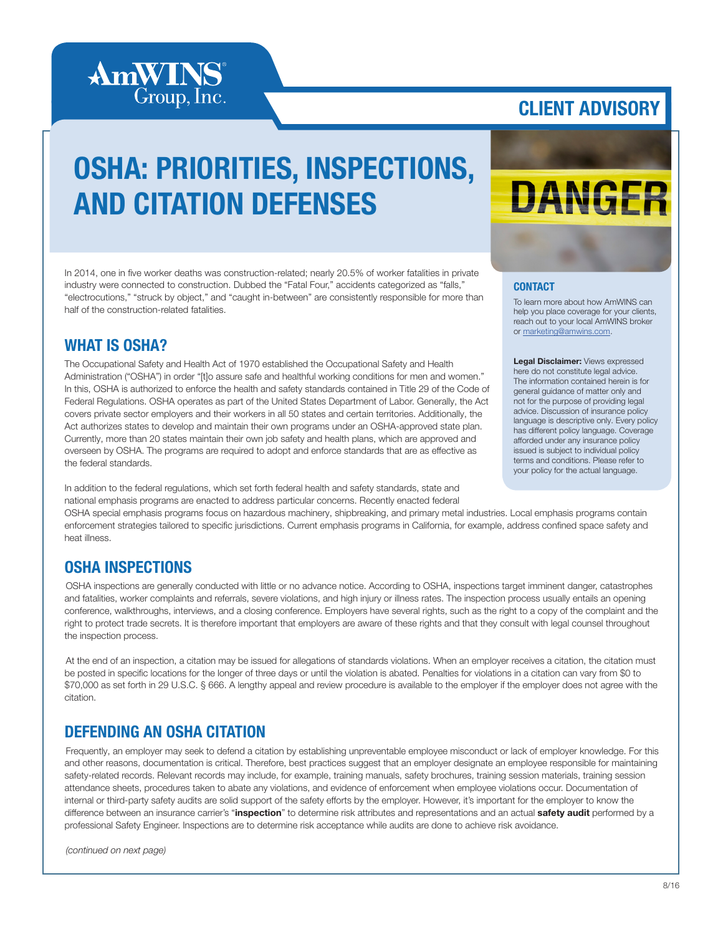

### CLIENT ADVISORY

## OSHA: PRIORITIES, INSPECTIONS, AND CITATION DEFENSES

In 2014, one in five worker deaths was construction-related; nearly 20.5% of worker fatalities in private industry were connected to construction. Dubbed the "Fatal Four," accidents categorized as "falls," "electrocutions," "struck by object," and "caught in-between" are consistently responsible for more than half of the construction-related fatalities.

#### WHAT IS OSHA?

The Occupational Safety and Health Act of 1970 established the Occupational Safety and Health Administration ("OSHA") in order "[t]o assure safe and healthful working conditions for men and women." In this, OSHA is authorized to enforce the health and safety standards contained in Title 29 of the Code of Federal Regulations. OSHA operates as part of the United States Department of Labor. Generally, the Act covers private sector employers and their workers in all 50 states and certain territories. Additionally, the Act authorizes states to develop and maintain their own programs under an OSHA-approved state plan. Currently, more than 20 states maintain their own job safety and health plans, which are approved and overseen by OSHA. The programs are required to adopt and enforce standards that are as effective as the federal standards.

In addition to the federal regulations, which set forth federal health and safety standards, state and national emphasis programs are enacted to address particular concerns. Recently enacted federal

# DANGER

#### **CONTACT**

To learn more about how AmWINS can help you place coverage for your clients, reach out to your local AmWINS broker or marketing@amwins.com.

Legal Disclaimer: Views expressed here do not constitute legal advice. The information contained herein is for general guidance of matter only and not for the purpose of providing legal advice. Discussion of insurance policy language is descriptive only. Every policy has different policy language. Coverage afforded under any insurance policy issued is subject to individual policy terms and conditions. Please refer to your policy for the actual language.

OSHA special emphasis programs focus on hazardous machinery, shipbreaking, and primary metal industries. Local emphasis programs contain enforcement strategies tailored to specific jurisdictions. Current emphasis programs in California, for example, address confined space safety and heat illness.

#### OSHA INSPECTIONS

OSHA inspections are generally conducted with little or no advance notice. According to OSHA, inspections target imminent danger, catastrophes and fatalities, worker complaints and referrals, severe violations, and high injury or illness rates. The inspection process usually entails an opening conference, walkthroughs, interviews, and a closing conference. Employers have several rights, such as the right to a copy of the complaint and the right to protect trade secrets. It is therefore important that employers are aware of these rights and that they consult with legal counsel throughout the inspection process.

At the end of an inspection, a citation may be issued for allegations of standards violations. When an employer receives a citation, the citation must be posted in specific locations for the longer of three days or until the violation is abated. Penalties for violations in a citation can vary from \$0 to \$70,000 as set forth in 29 U.S.C. § 666. A lengthy appeal and review procedure is available to the employer if the employer does not agree with the citation.

### DEFENDING AN OSHA CITATION

Frequently, an employer may seek to defend a citation by establishing unpreventable employee misconduct or lack of employer knowledge. For this and other reasons, documentation is critical. Therefore, best practices suggest that an employer designate an employee responsible for maintaining safety-related records. Relevant records may include, for example, training manuals, safety brochures, training session materials, training session attendance sheets, procedures taken to abate any violations, and evidence of enforcement when employee violations occur. Documentation of internal or third-party safety audits are solid support of the safety efforts by the employer. However, it's important for the employer to know the difference between an insurance carrier's "inspection" to determine risk attributes and representations and an actual safety audit performed by a professional Safety Engineer. Inspections are to determine risk acceptance while audits are done to achieve risk avoidance.

*(continued on next page)*